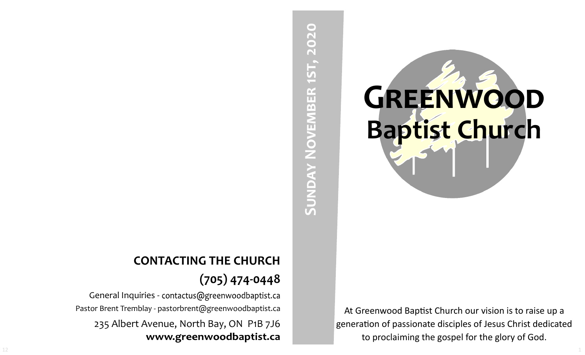# SUNDAY NOVEMBER 1ST, 2020 **Sunday November 1st, 2020**

At Greenwood Baptist Church our vision is to raise up a generation of passionate disciples of Jesus Christ dedicated to proclaiming the gospel for the glory of God.

**GREENWOOD** 

**Baptist Church**

# **CONTACTING THE CHURCH (705) 474-0448**

General Inquiries - contactus@greenwoodbaptist.ca Pastor Brent Tremblay - pastorbrent@greenwoodbaptist.ca 235 Albert Avenue, North Bay, ON P1B 7J6 www.greenwoodbaptist.ca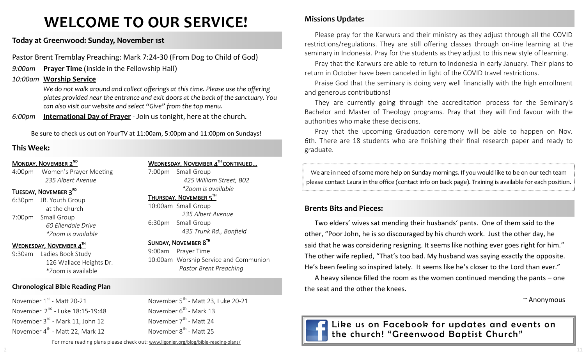# **WELCOME TO OUR SERVICE!**

### **Today at Greenwood: Sunday, November 1st**

Pastor Brent Tremblay Preaching: Mark 7:24-30 (From Dog to Child of God)

- *9:00am* **Prayer Time** (inside in the Fellowship Hall)
- *10:00am* **Worship Service**

*We do not walk around and collect offerings at this time. Please use the offering plates provided near the entrance and exit doors at the back of the sanctuary. You can also visit our website and select "Give" from the top menu.*

*6:00pm* **International Day of Prayer** - Join us tonight, here at the church.

Be sure to check us out on YourTV at 11:00am, 5:00pm and 11:00pm on Sundays!

### **This Week:**

### MONDAY, NOVEMBER 2<sup>ND</sup>

4:00pm Women's Prayer Meeting *235 Albert Avenue*

### TUESDAY, NOVEMBER 3<sup>RD</sup>

6:30pm JR. Youth Group at the church 7:00pm Small Group *60 Ellendale Drive \*Zoom is available*

### WEDNESDAY, NOVEMBER 4TH

9:30am Ladies Book Study 126 Wallace Heights Dr. \*Zoom is available

### **Chronological Bible Reading Plan**

November 1st - Matt 20-21 November 2<sup>nd</sup> - Luke 18:15-19:48 November 3<sup>rd</sup> - Mark 11, John 12 November 4<sup>th</sup> - Matt 22, Mark 12

WEDNESDAY, NOVEMBER  $4^{\text{th}}$  continued... 7:00pm Small Group

*425 William Street, B02 \*Zoom is available* 

### THURSDAY, NOVEMBER 5TH

10:00am Small Group *235 Albert Avenue* 6:30pm Small Group *435 Trunk Rd., Bonfield*

November 5<sup>th</sup> - Matt 23, Luke 20-21

### SUNDAY, NOVEMBER 8TH

November 6<sup>th</sup> - Mark 13 November 7<sup>th</sup> - Matt 24 November 8<sup>th</sup> - Matt 25

9:00am Prayer Time 10:00am Worship Service and Communion *Pastor Brent Preaching*

### **Missions Update:**

Please pray for the Karwurs and their ministry as they adjust through all the COVID restrictions/regulations. They are still offering classes through on-line learning at the seminary in Indonesia. Pray for the students as they adjust to this new style of learning.

Pray that the Karwurs are able to return to Indonesia in early January. Their plans to return in October have been canceled in light of the COVID travel restrictions.

Praise God that the seminary is doing very well financially with the high enrollment and generous contributions!

They are currently going through the accreditation process for the Seminary's Bachelor and Master of Theology programs. Pray that they will find favour with the authorities who make these decisions.

Pray that the upcoming Graduation ceremony will be able to happen on Nov. 6th. There are 18 students who are finishing their final research paper and ready to graduate.

We are in need of some more help on Sunday mornings. If you would like to be on our tech team please contact Laura in the office (contact info on back page). Training is available for each position.

### **Brents Bits and Pieces:**

Two elders' wives sat mending their husbands' pants. One of them said to the other, "Poor John, he is so discouraged by his church work. Just the other day, he said that he was considering resigning. It seems like nothing ever goes right for him." The other wife replied, "That's too bad. My husband was saying exactly the opposite. He's been feeling so inspired lately. It seems like he's closer to the Lord than ever."

A heavy silence filled the room as the women continued mending the pants – one the seat and the other the knees.

~ Anonymous



Like us on Facebook for updates and events on the church! "Greenwood Baptist Church"

For more reading plans please check out: www.ligonier.org/blog/bible-reading-plans/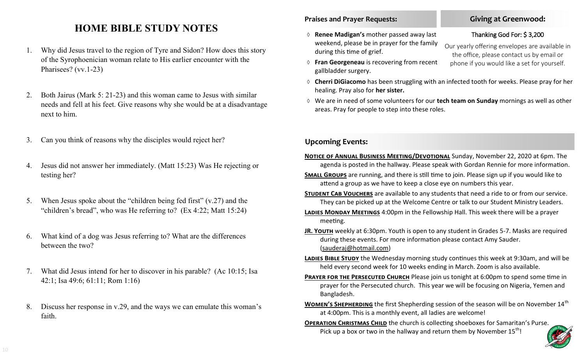## **HOME BIBLE STUDY NOTES**

- 1. Why did Jesus travel to the region of Tyre and Sidon? How does this story of the Syrophoenician woman relate to His earlier encounter with the Pharisees? (vv.1-23)
- 2. Both Jairus (Mark 5: 21-23) and this woman came to Jesus with similar needs and fell at his feet. Give reasons why she would be at a disadvantage next to him.
- 3. Can you think of reasons why the disciples would reject her?
- 4. Jesus did not answer her immediately. (Matt 15:23) Was He rejecting or testing her?
- 5. When Jesus spoke about the "children being fed first" (v.27) and the "children's bread", who was He referring to? (Ex 4:22; Matt 15:24)
- 6. What kind of a dog was Jesus referring to? What are the differences between the two?
- 7. What did Jesus intend for her to discover in his parable? (Ac 10:15; Isa 42:1; Isa 49:6; 61:11; Rom 1:16)
- 8. Discuss her response in v.29, and the ways we can emulate this woman's faith.

### **Praises and Prayer Requests:**

- **Renee Madigan's** mother passed away last weekend, please be in prayer for the family during this time of grief.
- **Fran Georgeneau** is recovering from recent gallbladder surgery.
- **Cherri DiGiacomo** has been struggling with an infected tooth for weeks. Please pray for her healing. Pray also for **her sister.**
- We are in need of some volunteers for our **tech team on Sunday** mornings as well as other areas. Pray for people to step into these roles.

### **Upcoming Events:**

- **Notice of Annual Business Meeting/Devotional** Sunday, November 22, 2020 at 6pm. The agenda is posted in the hallway. Please speak with Gordan Rennie for more information.
- **Small Groups** are running, and there is still time to join. Please sign up if you would like to attend a group as we have to keep a close eye on numbers this year.
- **STUDENT CAB VOUCHERS** are available to any students that need a ride to or from our service. They can be picked up at the Welcome Centre or talk to our Student Ministry Leaders.
- **Ladies Monday Meetings** 4:00pm in the Fellowship Hall. This week there will be a prayer meeting.
- **JR. Youth** weekly at 6:30pm. Youth is open to any student in Grades 5-7. Masks are required during these events. For more information please contact Amy Sauder. (sauderaj@hotmail.com)
- **LADIES BIBLE STUDY** the Wednesday morning study continues this week at 9:30am, and will be held every second week for 10 weeks ending in March. Zoom is also available.
- **PRAYER FOR THE PERSECUTED CHURCH** Please join us tonight at 6:00pm to spend some time in prayer for the Persecuted church. This year we will be focusing on Nigeria, Yemen and Bangladesh.
- **WOMEN'S SHEPHERDING** the first Shepherding session of the season will be on November 14<sup>th</sup> at 4:00pm. This is a monthly event, all ladies are welcome!
- **OPERATION CHRISTMAS CHILD** the church is collecting shoeboxes for Samaritan's Purse. Pick up a box or two in the hallway and return them by November  $15^{th}$ !



### **Giving at Greenwood:**

### Thanking God For: \$ 3,200

Our yearly offering envelopes are available in the office, please contact us by email or phone if you would like a set for yourself.